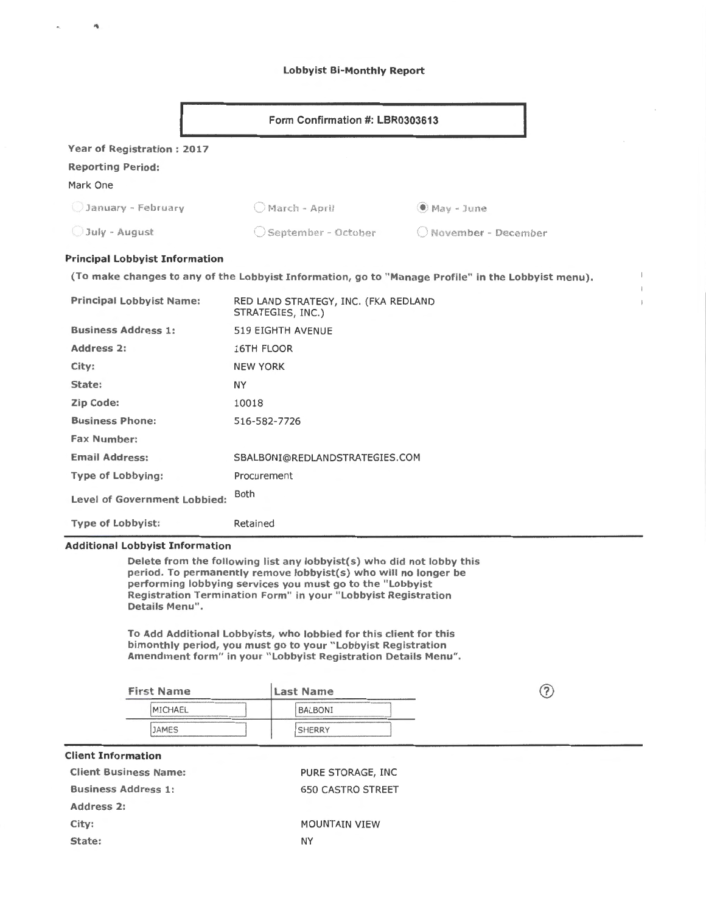# Lobbyist Bi-Monthly Report

| Form Confirmation #: LBR0303613                                                                                                                                                                                                                                                          |                                                           |                                                                                                    |  |  |  |  |  |
|------------------------------------------------------------------------------------------------------------------------------------------------------------------------------------------------------------------------------------------------------------------------------------------|-----------------------------------------------------------|----------------------------------------------------------------------------------------------------|--|--|--|--|--|
| Year of Registration: 2017                                                                                                                                                                                                                                                               |                                                           |                                                                                                    |  |  |  |  |  |
| <b>Reporting Period:</b>                                                                                                                                                                                                                                                                 |                                                           |                                                                                                    |  |  |  |  |  |
| Mark One                                                                                                                                                                                                                                                                                 |                                                           |                                                                                                    |  |  |  |  |  |
| January - February                                                                                                                                                                                                                                                                       | O March - April                                           | $\bullet$ May - June                                                                               |  |  |  |  |  |
| July - August                                                                                                                                                                                                                                                                            | Geptember - October                                       | November - December                                                                                |  |  |  |  |  |
| <b>Principal Lobbyist Information</b>                                                                                                                                                                                                                                                    |                                                           |                                                                                                    |  |  |  |  |  |
|                                                                                                                                                                                                                                                                                          |                                                           | (To make changes to any of the Lobbyist Information, go to "Manage Profile" in the Lobbyist menu). |  |  |  |  |  |
| <b>Principal Lobbyist Name:</b>                                                                                                                                                                                                                                                          | RED LAND STRATEGY, INC. (FKA REDLAND<br>STRATEGIES, INC.) |                                                                                                    |  |  |  |  |  |
| <b>Business Address 1:</b>                                                                                                                                                                                                                                                               | 519 EIGHTH AVENUE                                         |                                                                                                    |  |  |  |  |  |
| Address 2:                                                                                                                                                                                                                                                                               | <b>16TH FLOOR</b>                                         |                                                                                                    |  |  |  |  |  |
| City:                                                                                                                                                                                                                                                                                    | <b>NEW YORK</b>                                           |                                                                                                    |  |  |  |  |  |
| State:                                                                                                                                                                                                                                                                                   | <b>NY</b>                                                 |                                                                                                    |  |  |  |  |  |
| Zip Code:                                                                                                                                                                                                                                                                                | 10018                                                     |                                                                                                    |  |  |  |  |  |
| <b>Business Phone:</b>                                                                                                                                                                                                                                                                   | 516-582-7726                                              |                                                                                                    |  |  |  |  |  |
| <b>Fax Number:</b>                                                                                                                                                                                                                                                                       |                                                           |                                                                                                    |  |  |  |  |  |
| <b>Email Address:</b>                                                                                                                                                                                                                                                                    | SBALBONI@REDLANDSTRATEGIES.COM                            |                                                                                                    |  |  |  |  |  |
| <b>Type of Lobbying:</b>                                                                                                                                                                                                                                                                 | Procurement                                               |                                                                                                    |  |  |  |  |  |
| Level of Government Lobbied:                                                                                                                                                                                                                                                             | <b>Both</b>                                               |                                                                                                    |  |  |  |  |  |
| <b>Type of Lobbyist:</b>                                                                                                                                                                                                                                                                 | Retained                                                  |                                                                                                    |  |  |  |  |  |
| <b>Additional Lobbyist Information</b>                                                                                                                                                                                                                                                   |                                                           |                                                                                                    |  |  |  |  |  |
| Delete from the following list any lobbyist(s) who did not lobby this<br>period. To permanently remove lobbyist(s) who will no longer be<br>performing lobbying services you must go to the "Lobbyist<br>Registration Termination Form" in your "Lobbyist Registration<br>Details Menu". |                                                           |                                                                                                    |  |  |  |  |  |
| To Add Additional Lobbyists, who lobbied for this client for this<br>bimonthly period, you must go to your "Lobbyist Registration<br>Amendment form" in your "Lobbyist Registration Details Menu".                                                                                       |                                                           |                                                                                                    |  |  |  |  |  |
| <b>First Name</b>                                                                                                                                                                                                                                                                        | <b>Last Name</b>                                          | (?)                                                                                                |  |  |  |  |  |
| MICHAEL                                                                                                                                                                                                                                                                                  | BALBONI                                                   |                                                                                                    |  |  |  |  |  |
| <b>JAMES</b>                                                                                                                                                                                                                                                                             | <b>SHERRY</b>                                             |                                                                                                    |  |  |  |  |  |

| <b>Client Information</b>    |                          |  |
|------------------------------|--------------------------|--|
| <b>Client Business Name:</b> | PURE STORAGE, INC.       |  |
| <b>Business Address 1:</b>   | <b>650 CASTRO STREET</b> |  |
| Address 2:                   |                          |  |
| City:                        | <b>MOUNTAIN VIEW</b>     |  |
| State:                       | NY                       |  |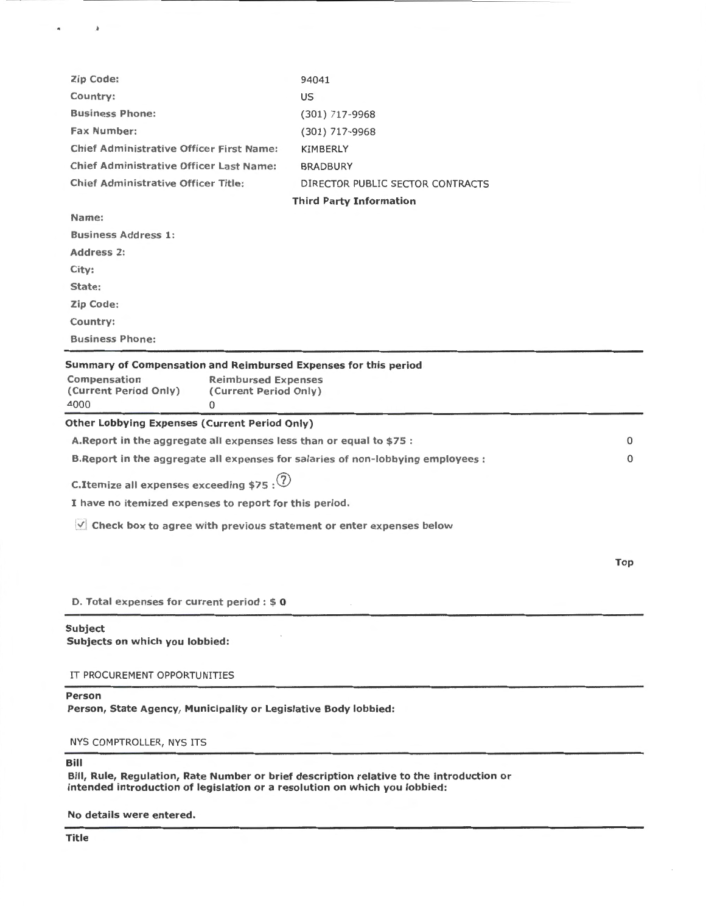| Person<br>Person, State Agency, Municipality or Legislative Body lobbied:                                                                                                                                                            |                                  |     |
|--------------------------------------------------------------------------------------------------------------------------------------------------------------------------------------------------------------------------------------|----------------------------------|-----|
| IT PROCUREMENT OPPORTUNITIES                                                                                                                                                                                                         |                                  |     |
| <b>Subject</b><br>Subjects on which you lobbied:                                                                                                                                                                                     |                                  |     |
| D. Total expenses for current period : \$0                                                                                                                                                                                           |                                  |     |
|                                                                                                                                                                                                                                      |                                  | Top |
| $\vee$ Check box to agree with previous statement or enter expenses below                                                                                                                                                            |                                  |     |
| I have no itemized expenses to report for this period.                                                                                                                                                                               |                                  |     |
| C. Itemize all expenses exceeding \$75 : $\circled{?}$                                                                                                                                                                               |                                  |     |
| B. Report in the aggregate all expenses for salaries of non-lobbying employees :                                                                                                                                                     |                                  | 0   |
| A. Report in the aggregate all expenses less than or equal to \$75 :                                                                                                                                                                 |                                  | 0   |
| Summary of Compensation and Reimbursed Expenses for this period<br>Compensation<br><b>Reimbursed Expenses</b><br>(Current Period Only)<br>(Current Period Only)<br>4000<br>0<br><b>Other Lobbying Expenses (Current Period Only)</b> |                                  |     |
| <b>Business Phone:</b>                                                                                                                                                                                                               |                                  |     |
| Country:                                                                                                                                                                                                                             |                                  |     |
| Zip Code:                                                                                                                                                                                                                            |                                  |     |
| State:                                                                                                                                                                                                                               |                                  |     |
| City:                                                                                                                                                                                                                                |                                  |     |
| Address 2:                                                                                                                                                                                                                           |                                  |     |
| Name:<br><b>Business Address 1:</b>                                                                                                                                                                                                  |                                  |     |
|                                                                                                                                                                                                                                      | <b>Third Party Information</b>   |     |
| Chief Administrative Officer Title:                                                                                                                                                                                                  | DIRECTOR PUBLIC SECTOR CONTRACTS |     |
| <b>Chief Administrative Officer Last Name:</b>                                                                                                                                                                                       |                                  |     |
| <b>Chief Administrative Officer First Name:</b>                                                                                                                                                                                      | KIMBERLY                         |     |
| <b>Fax Number:</b>                                                                                                                                                                                                                   | $(301)$ 717-9968                 |     |
| <b>Business Phone:</b>                                                                                                                                                                                                               | $(301)$ 717-9968                 |     |
| Country:                                                                                                                                                                                                                             | 94041<br>US                      |     |
| Zip Code:                                                                                                                                                                                                                            |                                  |     |

Bill

 $\sim$   $\lambda$ 

 $\blacksquare$ 

Bill, Rule, Regulation, Rate Number or brief description relative to the introduction or intended introduction of legislation or a resolution on which you lobbied:

No details were entered.

NYS COMPTROLLER, NYS ITS

Title